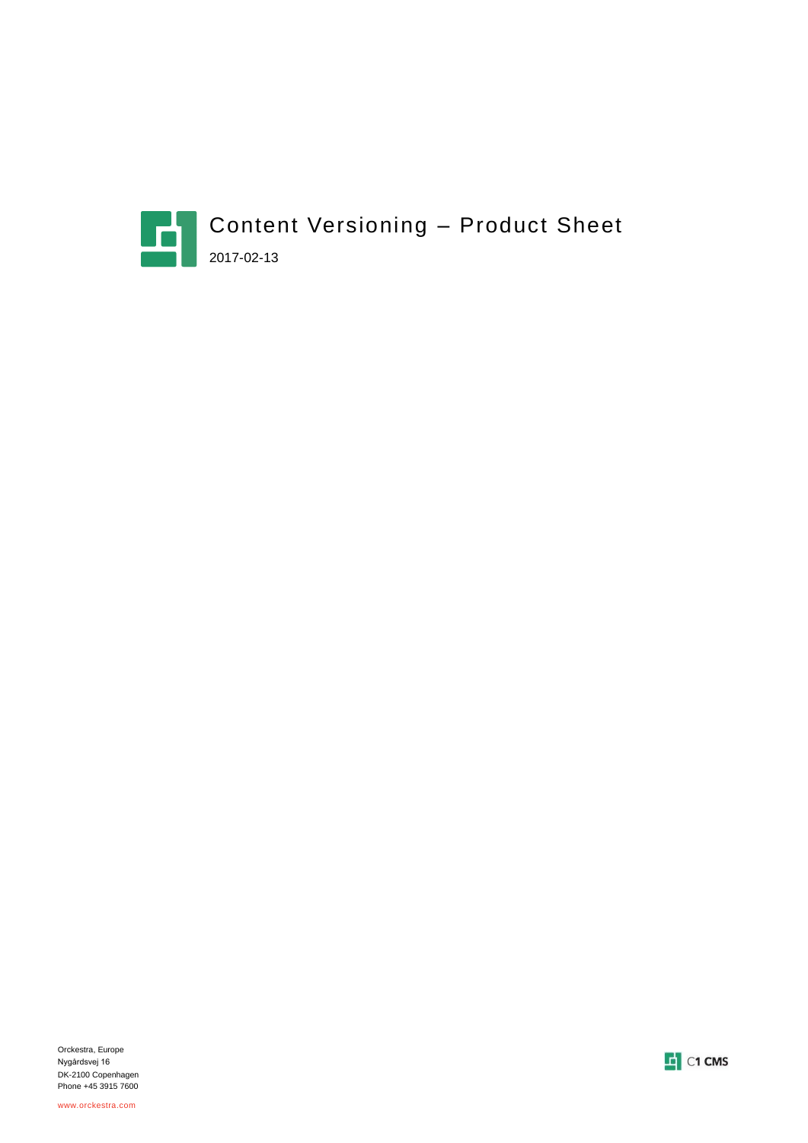

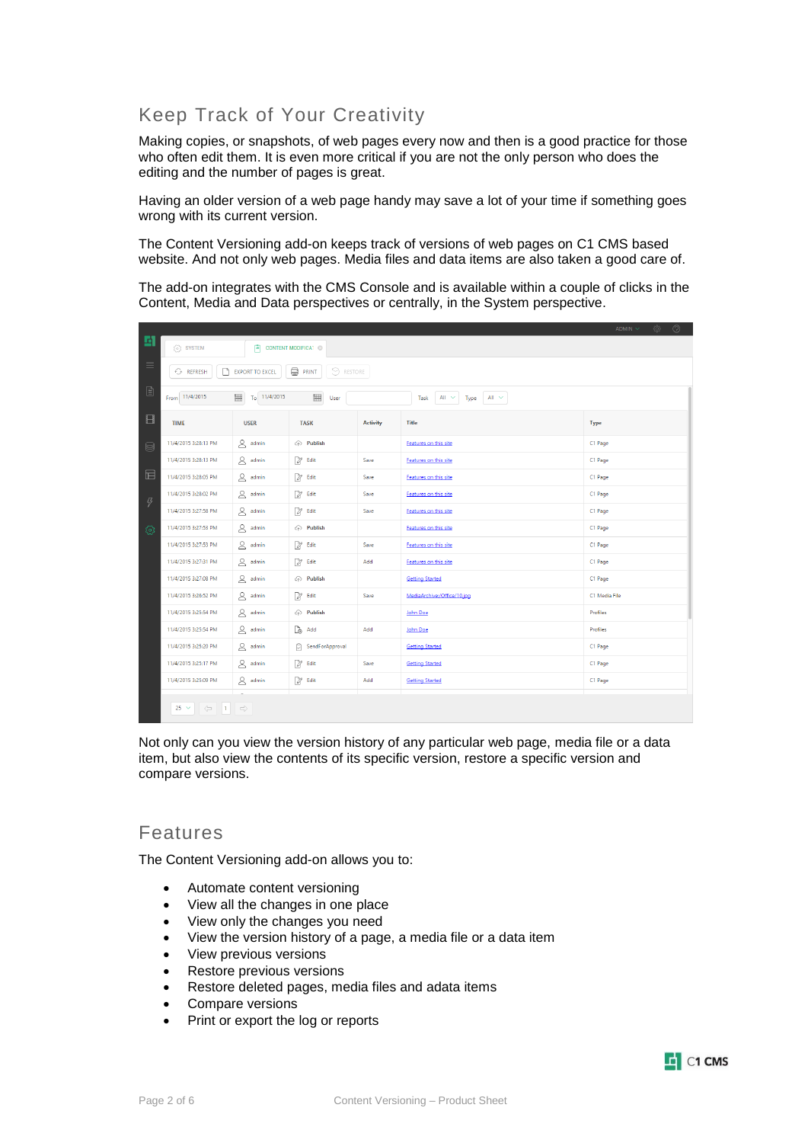# Keep Track of Your Creativity

Making copies, or snapshots, of web pages every now and then is a good practice for those who often edit them. It is even more critical if you are not the only person who does the editing and the number of pages is great.

Having an older version of a web page handy may save a lot of your time if something goes wrong with its current version.

The Content Versioning add-on keeps track of versions of web pages on C1 CMS based website. And not only web pages. Media files and data items are also taken a good care of.

The add-on integrates with the CMS Console and is available within a couple of clicks in the Content, Media and Data perspectives or centrally, in the System perspective.

|                            | $\circledcirc$<br>░<br>$\Delta$ DMIN $\sim$                                   |                                       |                           |                 |                                             |               |  |  |
|----------------------------|-------------------------------------------------------------------------------|---------------------------------------|---------------------------|-----------------|---------------------------------------------|---------------|--|--|
| 固                          | {ି} SYSTEM                                                                    | $\boxed{=}$ CONTENT MODIFICAT $\odot$ |                           |                 |                                             |               |  |  |
| $\equiv$                   | <b>PRINT</b><br>$\odot$ RESTORE<br><b>C</b> REFRESH<br><b>EXPORT TO EXCEL</b> |                                       |                           |                 |                                             |               |  |  |
| ₿                          | From 11/4/2015                                                                | 賜<br>$T_0$ 11/4/2015                  | 鼺<br>User                 |                 | All $~\sim$<br>$All ~ \sim$<br>Type<br>Task |               |  |  |
| $\Box$                     | <b>TIME</b>                                                                   | <b>USER</b>                           | <b>TASK</b>               | <b>Activity</b> | <b>Title</b>                                | <b>Type</b>   |  |  |
| ⊜                          | 11/4/2015 3:28:13 PM                                                          | $\beta$ admin                         | $\textcircled{r}$ Publish |                 | Features on this site                       | C1 Page       |  |  |
|                            | 11/4/2015 3:28:13 PM                                                          | $\beta$ admin                         | 2 <sup>2</sup> Edit       | Save            | Features on this site                       | C1 Page       |  |  |
| $\boxplus$                 | 11/4/2015 3:28:05 PM                                                          | $\beta$ admin                         | 2 Edit                    | Save            | Features on this site                       | C1 Page       |  |  |
| $\boldsymbol{\mathcal{G}}$ | 11/4/2015 3:28:02 PM                                                          | $2$ admin                             | 2 Edit                    | Save            | Features on this site                       | C1 Page       |  |  |
|                            | 11/4/2015 3:27:58 PM                                                          | $\alpha$ admin                        | 2 Edit                    | Save            | Features on this site                       | C1 Page       |  |  |
| හූ                         | 11/4/2015 3:27:53 PM                                                          | $2$ admin                             | $\textcircled{r}$ Publish |                 | Features on this site                       | C1 Page       |  |  |
|                            | 11/4/2015 3:27:53 PM                                                          | $\beta$ admin                         | 2 <sup>2</sup> Edit       | Save            | Features on this site                       | C1 Page       |  |  |
|                            | 11/4/2015 3:27:31 PM                                                          | $\beta$ admin                         | 2 Edit                    | Add             | Features on this site                       | C1 Page       |  |  |
|                            | 11/4/2015 3:27:08 PM                                                          | $\alpha$ admin                        | ← Publish                 |                 | <b>Getting Started</b>                      | C1 Page       |  |  |
|                            | 11/4/2015 3:26:52 PM                                                          | $\mathfrak{a}$ admin                  | 2 Edit                    | Save            | MediaArchive:/Office/10.jpg                 | C1 Media File |  |  |
|                            | 11/4/2015 3:25:54 PM                                                          | $\triangleright$ admin                | $\textcircled{r}$ Publish |                 | John Doe                                    | Profiles      |  |  |
|                            | 11/4/2015 3:25:54 PM                                                          | $\beta$ admin                         | $\Box \oplus$ Add         | Add             | John Doe                                    | Profiles      |  |  |
|                            | 11/4/2015 3:25:20 PM                                                          | $\mathfrak{a}$ admin                  | SendForApproval           |                 | <b>Getting Started</b>                      | C1 Page       |  |  |
|                            | 11/4/2015 3:25:17 PM                                                          | $2$ admin                             | 2 Edit                    | Save            | <b>Getting Started</b>                      | C1 Page       |  |  |
|                            | 11/4/2015 3:25:09 PM                                                          | $2$ admin                             | 2 Edit                    | Add             | <b>Getting Started</b>                      | C1 Page       |  |  |
|                            | 25 $\sim$                                                                     |                                       |                           |                 |                                             |               |  |  |

Not only can you view the version history of any particular web page, media file or a data item, but also view the contents of its specific version, restore a specific version and compare versions.

# Features

The Content Versioning add-on allows you to:

- Automate content versioning
- View all the changes in one place
- View only the changes you need
- View the version history of a page, a media file or a data item
- View previous versions
- Restore previous versions
- Restore deleted pages, media files and adata items
- Compare versions
- Print or export the log or reports

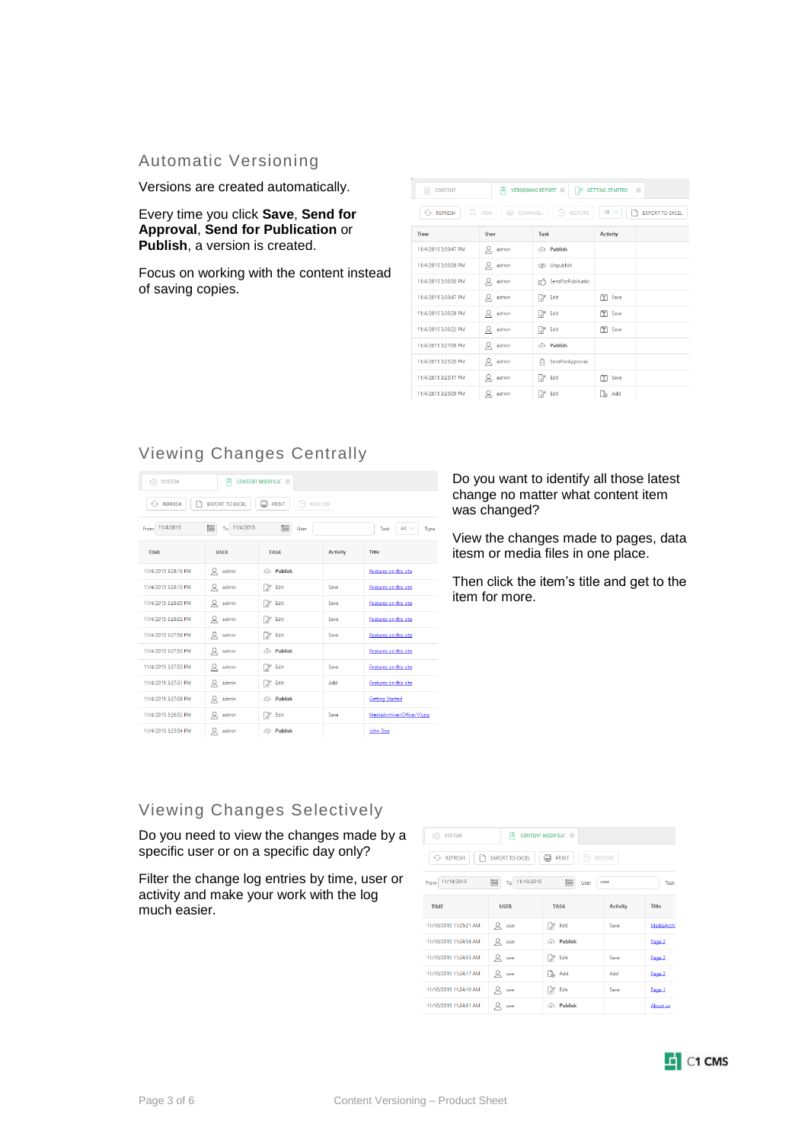#### Automatic Versioning

Versions are created automatically.

Every time you click **Save**, **Send for Approval**, **Send for Publication** or **Publish**, a version is created.

Focus on working with the content instead of saving copies.

| <b>CONTENT</b><br><b>VERSIONING REPORT ©</b><br><b>GETTING STARTED</b><br>n<br>$\circ$<br>E<br>127 |             |                            |                   |                        |  |  |  |
|----------------------------------------------------------------------------------------------------|-------------|----------------------------|-------------------|------------------------|--|--|--|
| $\odot$ REFRESH                                                                                    | Q VIEW      | COMPARE<br>$\odot$ RESTORE | $10 \times$       | <b>EXPORT TO EXCEL</b> |  |  |  |
| Time                                                                                               | <b>User</b> | <b>Task</b>                | <b>Activity</b>   |                        |  |  |  |
| 11/4/2015 3:30:47 PM                                                                               | ዶ<br>admin  | $\odot$ Publish            |                   |                        |  |  |  |
| 11/4/2015 3:30:38 PM                                                                               | $Q$ admin   | <b>SS</b> Unpublish        |                   |                        |  |  |  |
| 11/4/2015 3:30:30 PM                                                                               | $Q$ admin   | SendForPublicatio          |                   |                        |  |  |  |
| 11/4/2015 3:30:47 PM                                                                               | ୟ<br>admin  | V<br>Edit                  | 등 Save            |                        |  |  |  |
| 11/4/2015 3:30:28 PM                                                                               | $Q$ admin   | 2 Edit                     | ৰি Save           |                        |  |  |  |
| 11/4/2015 3:30:22 PM                                                                               | Զ<br>admin  | $2$ Edit                   | 图 Save            |                        |  |  |  |
| 11/4/2015 3:27:08 PM                                                                               | ୟ<br>admin  | <b>A</b> Publish           |                   |                        |  |  |  |
| 11/4/2015 3:25:20 PM                                                                               | $Q$ admin   | SendForApproval<br>c       |                   |                        |  |  |  |
| 11/4/2015 3:25:17 PM                                                                               | ப்<br>admin | Edit<br>12                 | 图 Save            |                        |  |  |  |
| 11/4/2015 3:25:09 PM                                                                               | ደ<br>admin  | Edit<br>V                  | $\Box \oplus$ Add |                        |  |  |  |

## Viewing Changes Centrally

| <b>SYSTEM</b><br>阊<br><b>CONTENT MODIFICAT ©</b><br>T63<br>ь<br><b>C</b> REFRESH<br><b>EXPORT TO EXCEL</b><br>o<br><b>PRINT</b><br>RESTORE |                   |                                               |                 |                             |  |  |  |
|--------------------------------------------------------------------------------------------------------------------------------------------|-------------------|-----------------------------------------------|-----------------|-----------------------------|--|--|--|
| 驆<br>鼺<br>11/4/2015<br>11/4/2015<br>All $\sim$<br>To<br>From<br>User<br>Task<br>Type                                                       |                   |                                               |                 |                             |  |  |  |
| <b>TIME</b>                                                                                                                                | <b>USER</b>       | <b>TASK</b>                                   | <b>Activity</b> | <b>Title</b>                |  |  |  |
| 11/4/2015 3:28:13 PM                                                                                                                       | ହ<br>admin        | $\textcircled{\scriptsize\textsf{a}}$ Publish |                 | Features on this site       |  |  |  |
| 11/4/2015 3:28:13 PM                                                                                                                       | ୟ<br>admin        | Edit<br>21                                    | Save            | Features on this site       |  |  |  |
| 11/4/2015 3:28:05 PM                                                                                                                       | Զ<br>admin        | Edit<br>1 27                                  | Save            | Features on this site       |  |  |  |
| 11/4/2015 3:28:02 PM                                                                                                                       | Ջ<br>admin        | Edit<br>71                                    | Save            | Features on this site       |  |  |  |
| 11/4/2015 3:27:58 PM                                                                                                                       | Զ<br>admin        | Edit<br>12                                    | Save            | Features on this site       |  |  |  |
| 11/4/2015 3:27:53 PM                                                                                                                       | ୁ<br>admin        | <b>A</b> Publish                              |                 | Features on this site       |  |  |  |
| 11/4/2015 3:27:53 PM                                                                                                                       | ହ<br>admin        | X<br>Edit                                     | Save            | Features on this site       |  |  |  |
| 11/4/2015 3:27:31 PM                                                                                                                       | Զ<br>admin        | Edit<br>  27                                  | Add             | Features on this site       |  |  |  |
| 11/4/2015 3:27:08 PM                                                                                                                       | Զ<br>admin        | <b>A</b> Publish                              |                 | <b>Getting Started</b>      |  |  |  |
| 11/4/2015 3:26:52 PM                                                                                                                       | Զ<br>admin        | Edit<br>X                                     | Save            | MediaArchive:/Office/10.jpg |  |  |  |
| 11/4/2015 3:25:54 PM                                                                                                                       | $\alpha$<br>admin | a Publish                                     |                 | John Doe                    |  |  |  |

Do you want to identify all those latest change no matter what content item was changed?

View the changes made to pages, data itesm or media files in one place.

Then click the item's title and get to the item for more.

# Viewing Changes Selectively

Do you need to view the changes made by a specific user or on a specific day only?

Filter the change log entries by time, user or activity and make your work with the log much easier.

| (o) SYSTEM                                                           | Ε                                               | <b>CONTENT MODIFICAT ©</b> |                 |            |  |  |  |  |
|----------------------------------------------------------------------|-------------------------------------------------|----------------------------|-----------------|------------|--|--|--|--|
| EXPORT TO EXCEL<br>PRINT<br>$\odot$ RESTORE<br><b>C</b> REFRESH<br>Ú |                                                 |                            |                 |            |  |  |  |  |
| 11/10/2015<br>From                                                   | To 11/10/2015<br>關<br>隰<br>user<br>User<br>Tack |                            |                 |            |  |  |  |  |
| <b>TIMF</b>                                                          | <b>USER</b>                                     | <b>TASK</b>                | <b>Activity</b> | Title      |  |  |  |  |
| 11/10/2015 11:25:21 AM                                               | $Q$ user                                        | M<br>Edit                  | Save            | MediaArchi |  |  |  |  |
| 11/10/2015 11:24:58 AM                                               | Զ<br>user                                       | a Publish                  |                 | Page 2     |  |  |  |  |
| 11/10/2015 11:24:55 AM                                               | $Q$ user                                        | M<br>Edit                  | Save            | Page 2     |  |  |  |  |
| 11/10/2015 11:24:17 AM                                               | $Q$ user                                        | <b>P</b> <sub>n</sub> Add  | Add             | Page 2     |  |  |  |  |
| 11/10/2015 11:24:10 AM                                               | $Q$ user                                        | Edit<br>12                 | Save            | Page 1     |  |  |  |  |
| 11/10/2015 11:24:01 AM                                               | user                                            | a Publish                  |                 | About us   |  |  |  |  |

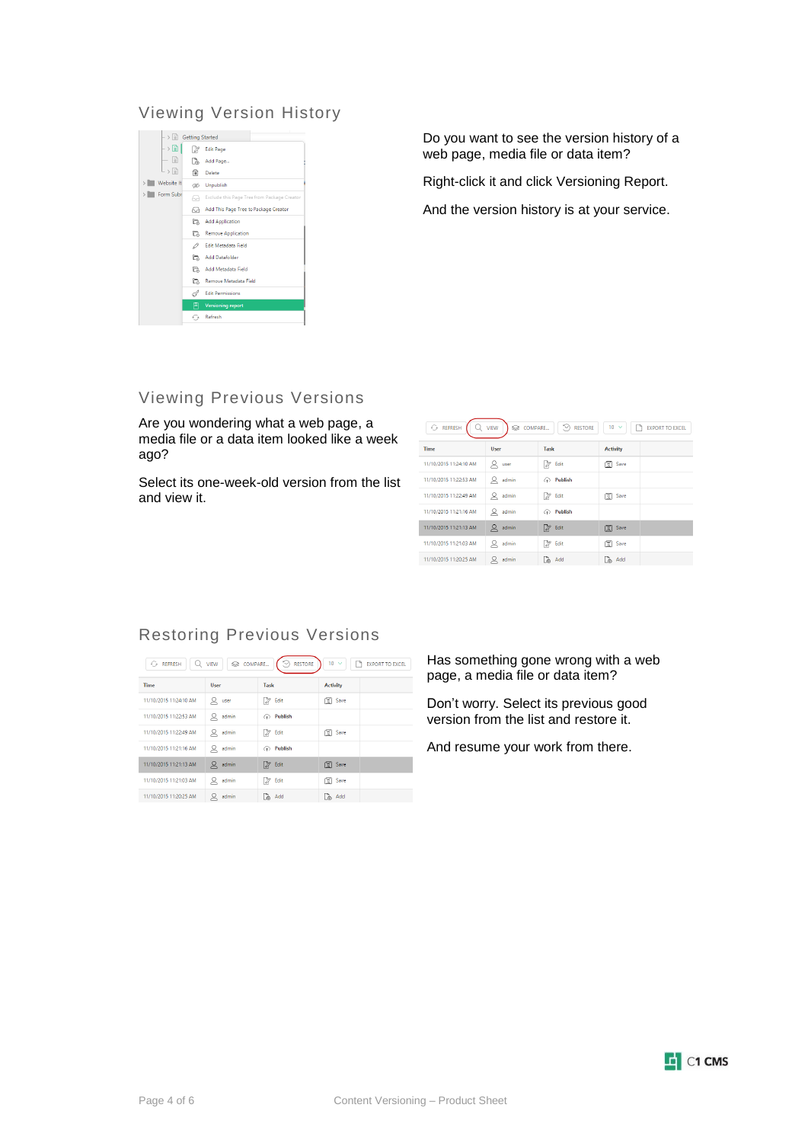### Viewing Version History



Do you want to see the version history of a web page, media file or data item?

Right-click it and click Versioning Report.

And the version history is at your service.

# Viewing Previous Versions

Are you wondering what a web page, a media file or a data item looked like a week ago?

Select its one-week-old version from the list and view it.

| $\odot$ REFRESH<br>$\mathsf Q$ view<br>$\odot$ RESTORE<br>$10 \sim$<br>S COMPARE<br>EXPORT TO EXCEL |             |             |                 |  |  |  |
|-----------------------------------------------------------------------------------------------------|-------------|-------------|-----------------|--|--|--|
| <b>Time</b>                                                                                         | <b>User</b> | <b>Task</b> | <b>Activity</b> |  |  |  |
| 11/10/2015 11:24:10 AM                                                                              | $Q$ user    | 2 Edit      | ার Save         |  |  |  |
| 11/10/2015 11:22:53 AM                                                                              | $Q$ admin   | ← Publish   |                 |  |  |  |
| 11/10/2015 11:22:49 AM                                                                              | $Q$ admin   | $2$ Edit    | বি Save         |  |  |  |
| 11/10/2015 11:21:16 AM                                                                              | admin<br>⊻  | ← Publish   |                 |  |  |  |
| 11/10/2015 11:21:13 AM                                                                              | $Q$ admin   | 2 Edit      | <b>S</b> Save   |  |  |  |
| 11/10/2015 11:21:03 AM                                                                              | $Q$ admin   | 2 Edit      | <u>ଟ</u> ି Save |  |  |  |
| 11/10/2015 11:20:25 AM                                                                              | $Q$ admin   | Add         | Add             |  |  |  |

### Restoring Previous Versions

| $\odot$ REFRESH<br>Q   | COMPARE<br><b>VIEW</b> | $\odot$ RESTORE | $10 \sim$       | <b>P</b> EXPORT TO EXCEL |
|------------------------|------------------------|-----------------|-----------------|--------------------------|
| <b>Time</b>            | User                   | <b>Task</b>     | <b>Activity</b> |                          |
| 11/10/2015 11:24:10 AM | $Q$ user               | $2$ Edit        | Save            |                          |
| 11/10/2015 11:22:53 AM | $Q$ admin              | ← Publish       |                 |                          |
| 11/10/2015 11:22:49 AM | $Q$ admin              | $2$ Edit        | <b>ଟ</b> Save   |                          |
| 11/10/2015 11:21:16 AM | admin<br>⊻             | ← Publish       |                 |                          |
| 11/10/2015 11:21:13 AM | $Q$ admin              | 2 Edit          | <b>图</b> Save   |                          |
| 11/10/2015 11:21:03 AM | $Q$ admin              | 2 Edit          | <u>ଟ</u> ି Save |                          |
| 11/10/2015 11:20:25 AM | admin                  | Add             | a Add           |                          |

Has something gone wrong with a web page, a media file or data item?

Don't worry. Select its previous good version from the list and restore it.

And resume your work from there.

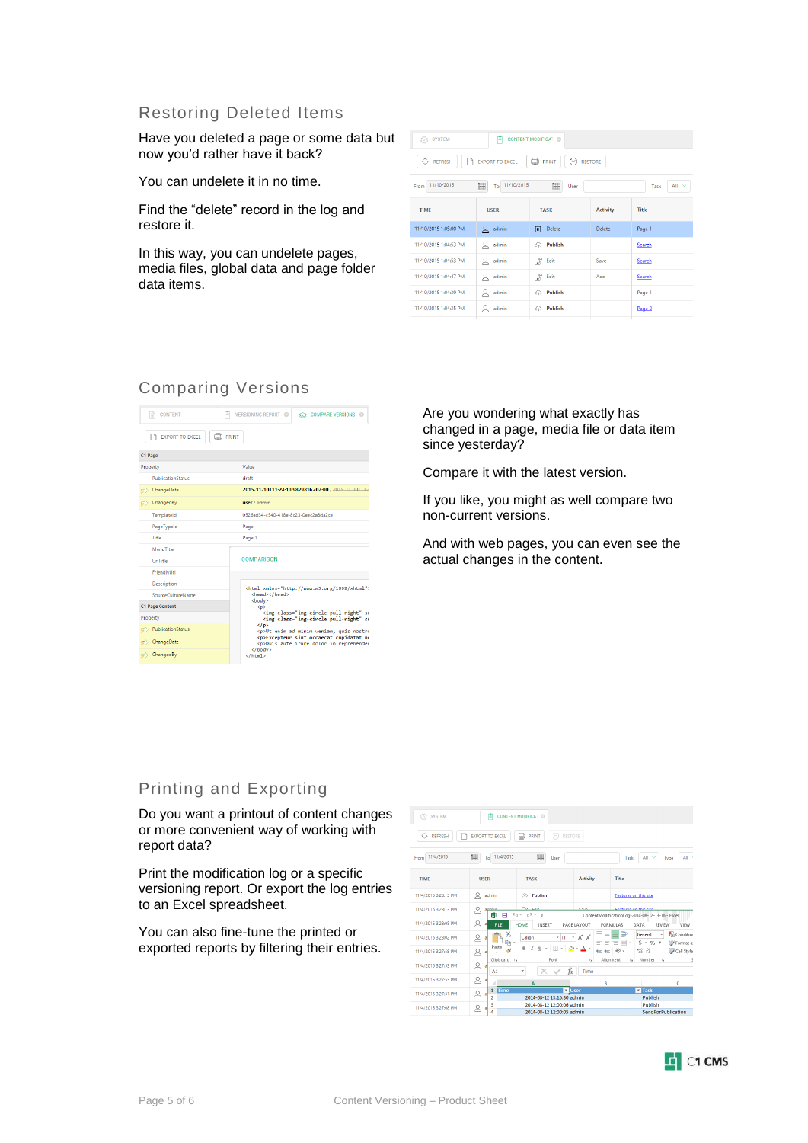#### Restoring Deleted Items

Have you deleted a page or some data but now you'd rather have it back?

You can undelete it in no time.

Find the "delete" record in the log and restore it.

In this way, you can undelete pages, media files, global data and page folder data items.

| (6) SYSTEM                                                           | <b>CONTENT MODIFICAT ©</b><br>E                       |                           |                 |        |  |  |  |  |
|----------------------------------------------------------------------|-------------------------------------------------------|---------------------------|-----------------|--------|--|--|--|--|
| $\odot$ RESTORE<br><b>EXPORT TO EXCEL</b><br>e<br>← REFRESH<br>PRINT |                                                       |                           |                 |        |  |  |  |  |
| From 11/10/2015                                                      | 賜<br>To 11/10/2015<br>圞<br>All $\sim$<br>User<br>Task |                           |                 |        |  |  |  |  |
| <b>TIME</b>                                                          | <b>USER</b>                                           | <b>TASK</b>               | <b>Activity</b> | Title  |  |  |  |  |
| 11/10/2015 1:05:00 PM                                                | $Q$ admin                                             | Delete<br>而               | Delete          | Page 1 |  |  |  |  |
| 11/10/2015 1:04:53 PM                                                | Զ<br>admin                                            | $\textcircled{r}$ Publish |                 | Search |  |  |  |  |
| 11/10/2015 1:04:53 PM                                                | ହ<br>admin                                            | V<br>Edit                 | Save            | Search |  |  |  |  |
| 11/10/2015 1:04:47 PM                                                | Զ<br>admin                                            | V<br>Edit                 | Add             | Search |  |  |  |  |
| 11/10/2015 1:04:39 PM                                                | ୁ<br>admin                                            | <b>A</b> Publish          |                 | Page 1 |  |  |  |  |
| 11/10/2015 1:04:35 PM                                                | admin                                                 | $\odot$ Publish           |                 | Page 2 |  |  |  |  |

## Comparing Versions



Are you wondering what exactly has changed in a page, media file or data item since yesterday?

Compare it with the latest version.

If you like, you might as well compare two non-current versions.

And with web pages, you can even see the actual changes in the content.

## Printing and Exporting

Do you want a printout of content changes or more convenient way of working with report data?

Print the modification log or a specific versioning report. Or export the log entries to an Excel spreadsheet.

You can also fine-tune the printed or exported reports by filtering their entries.

| <b>SYSTEM</b><br>58  | E                                     | <b>CONTENT MODIFICAT ©</b>                                    |                                                   |                                                                          |                                    |                                                |
|----------------------|---------------------------------------|---------------------------------------------------------------|---------------------------------------------------|--------------------------------------------------------------------------|------------------------------------|------------------------------------------------|
| REFRESH<br>⊙         | <b>EXPORT TO EXCEL</b>                | o<br>9<br><b>PRINT</b>                                        | RESTORE                                           |                                                                          |                                    |                                                |
| 11/4/2015<br>From    | 煕<br>11/4/2015<br>To                  | 匷<br>User                                                     |                                                   | Task                                                                     | All<br>Type                        | All -                                          |
| <b>TIME</b>          | <b>USER</b>                           | <b>TASK</b>                                                   | <b>Activity</b>                                   | Title                                                                    |                                    |                                                |
| 11/4/2015 3:28:13 PM | ዱ<br>admin                            | Publish<br>⋒                                                  |                                                   | Features on this site                                                    |                                    |                                                |
| 11/4/2015 3:28:13 PM | 2<br>منصاوق<br>×B<br>я                | <b>The qua</b><br>$\sigma$ - $\tau$<br>$\leftarrow$<br>$\sim$ | e.                                                | Canturns an this site<br>ContentModificationLog-2014-08-12-13-16 - Excel |                                    |                                                |
| 11/4/2015 3:28:05 PM | 2<br>ă<br><b>FILE</b>                 | <b>HOME</b><br>INSERT                                         | PAGE LAYOUT                                       | <b>FORMULAS</b><br>DATA                                                  | <b>REVIEW</b>                      | VIEW                                           |
| 11/4/2015 3:28:02 PM | X,<br>2<br>a<br>$\mathbb{R}$ .        | Calibri<br>$-11$                                              | $\equiv$<br>$A^{\star}$ $A^{\star}$<br>$_{\rm v}$ | ₽<br>$\equiv$<br>ままき用・                                                   | General<br>٠<br>$S - 96$ ,         | <b>F</b> <sub>(a)</sub> Condition<br>Format as |
| 11/4/2015 3:27:58 PM | Paste<br>×<br>ని<br>ð                 | <u>⊎ -  ⊠ -   Ôa - A -</u><br>$\cal I$<br>B                   |                                                   | 任 一 秒 -                                                                  | 58.28                              | Cell Style                                     |
| 11/4/2015 3:27:53 PM | Clipboard G<br>8<br>a<br>A1           | Font<br>۰<br>÷                                                | G.<br>fx<br>Time                                  | Alignment<br>61                                                          | Number<br>Б.                       | s                                              |
| 11/4/2015 3:27:53 PM | 2<br>a                                | A                                                             | B                                                 |                                                                          |                                    | Ċ                                              |
| 11/4/2015 3:27:31 PM | Time<br>1<br>8<br>ă<br>$\overline{a}$ | 2014-08-12 13:15:30 admin                                     | V User                                            |                                                                          | <b>v</b> Task<br>Publish           |                                                |
| 11/4/2015 3:27:08 PM | 3<br>2<br>ð<br>$\overline{a}$         | 2014-08-12 12:00:06 admin<br>3014.00.13.13/00/0E edition      |                                                   |                                                                          | Publish<br>Consideration Genetical |                                                |